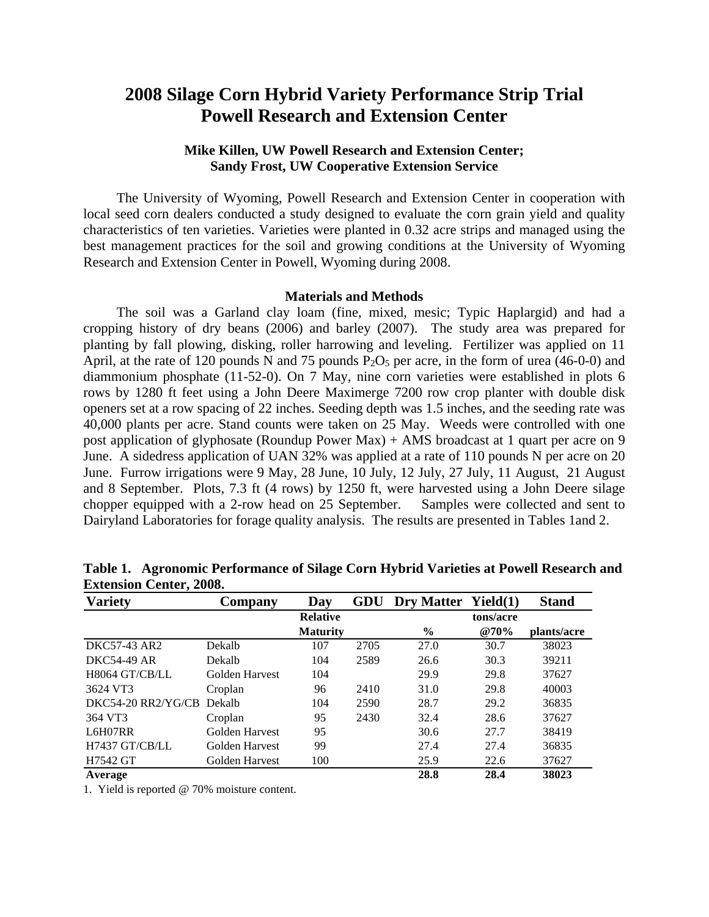# **2008 Silage Corn Hybrid Variety Performance Strip Trial Powell Research and Extension Center**

## **Mike Killen, UW Powell Research and Extension Center; Sandy Frost, UW Cooperative Extension Service**

The University of Wyoming, Powell Research and Extension Center in cooperation with local seed corn dealers conducted a study designed to evaluate the corn grain yield and quality characteristics of ten varieties. Varieties were planted in 0.32 acre strips and managed using the best management practices for the soil and growing conditions at the University of Wyoming Research and Extension Center in Powell, Wyoming during 2008.

#### **Materials and Methods**

The soil was a Garland clay loam (fine, mixed, mesic; Typic Haplargid) and had a cropping history of dry beans (2006) and barley (2007). The study area was prepared for planting by fall plowing, disking, roller harrowing and leveling. Fertilizer was applied on 11 April, at the rate of 120 pounds N and 75 pounds  $P_2O_5$  per acre, in the form of urea (46-0-0) and diammonium phosphate (11-52-0). On 7 May, nine corn varieties were established in plots 6 rows by 1280 ft feet using a John Deere Maximerge 7200 row crop planter with double disk openers set at a row spacing of 22 inches. Seeding depth was 1.5 inches, and the seeding rate was 40,000 plants per acre. Stand counts were taken on 25 May. Weeds were controlled with one post application of glyphosate (Roundup Power Max) + AMS broadcast at 1 quart per acre on 9 June. A sidedress application of UAN 32% was applied at a rate of 110 pounds N per acre on 20 June. Furrow irrigations were 9 May, 28 June, 10 July, 12 July, 27 July, 11 August, 21 August and 8 September. Plots, 7.3 ft (4 rows) by 1250 ft, were harvested using a John Deere silage chopper equipped with a 2-row head on 25 September. Samples were collected and sent to Dairyland Laboratories for forage quality analysis. The results are presented in Tables 1and 2.

| <b>Variety</b>       | Company        | Day             | GDU  | Dry Matter Yield(1) |           | <b>Stand</b> |
|----------------------|----------------|-----------------|------|---------------------|-----------|--------------|
|                      |                | <b>Relative</b> |      |                     | tons/acre |              |
|                      |                | <b>Maturity</b> |      | $\frac{6}{9}$       | @70%      | plants/acre  |
| DKC57-43 AR2         | Dekalb         | 107             | 2705 | 27.0                | 30.7      | 38023        |
| <b>DKC54-49 AR</b>   | Dekalb         | 104             | 2589 | 26.6                | 30.3      | 39211        |
| H8064 GT/CB/LL       | Golden Harvest | 104             |      | 29.9                | 29.8      | 37627        |
| 3624 VT3             | Croplan        | 96              | 2410 | 31.0                | 29.8      | 40003        |
| $DKC54-20 RR2/YG/CB$ | Dekalb         | 104             | 2590 | 28.7                | 29.2      | 36835        |
| 364 VT3              | Croplan        | 95              | 2430 | 32.4                | 28.6      | 37627        |
| L6H07RR              | Golden Harvest | 95              |      | 30.6                | 27.7      | 38419        |
| H7437 GT/CB/LL       | Golden Harvest | 99              |      | 27.4                | 27.4      | 36835        |
| H7542 GT             | Golden Harvest | 100             |      | 25.9                | 22.6      | 37627        |
| Average              |                |                 |      | 28.8                | 28.4      | 38023        |

**Table 1. Agronomic Performance of Silage Corn Hybrid Varieties at Powell Research and Extension Center, 2008.** 

1. Yield is reported @ 70% moisture content.